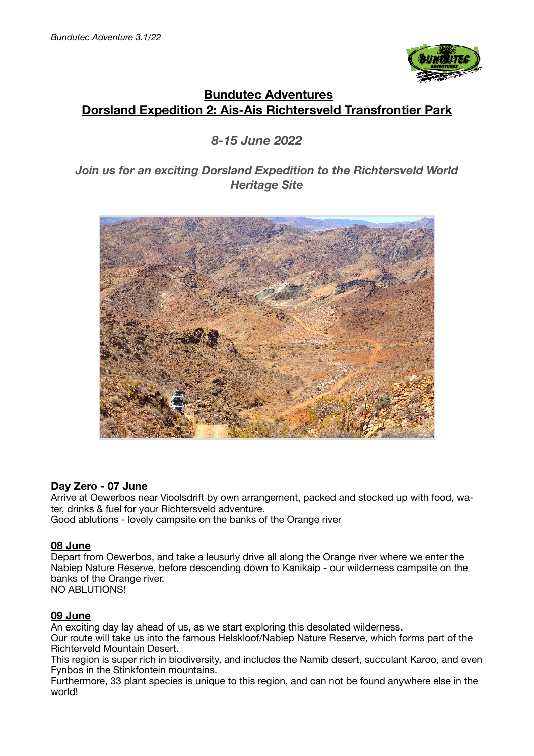

# **Bundutec Adventures Dorsland Expedition 2: Ais-Ais Richtersveld Transfrontier Park**

# *8-15 June 2022*

# *Join us for an exciting Dorsland Expedition to the Richtersveld World Heritage Site*



### **Day Zero - 07 June**

Arrive at Oewerbos near Vioolsdrift by own arrangement, packed and stocked up with food, water, drinks & fuel for your Richtersveld adventure.

Good ablutions - lovely campsite on the banks of the Orange river

### **08 June**

Depart from Oewerbos, and take a leusurly drive all along the Orange river where we enter the Nabiep Nature Reserve, before descending down to Kanikaip - our wilderness campsite on the banks of the Orange river. NO ABLUTIONS!

#### **09 June**

An exciting day lay ahead of us, as we start exploring this desolated wilderness.

Our route will take us into the famous Helskloof/Nabiep Nature Reserve, which forms part of the Richterveld Mountain Desert.

This region is super rich in biodiversity, and includes the Namib desert, succulant Karoo, and even Fynbos in the Stinkfontein mountains.

Furthermore, 33 plant species is unique to this region, and can not be found anywhere else in the world!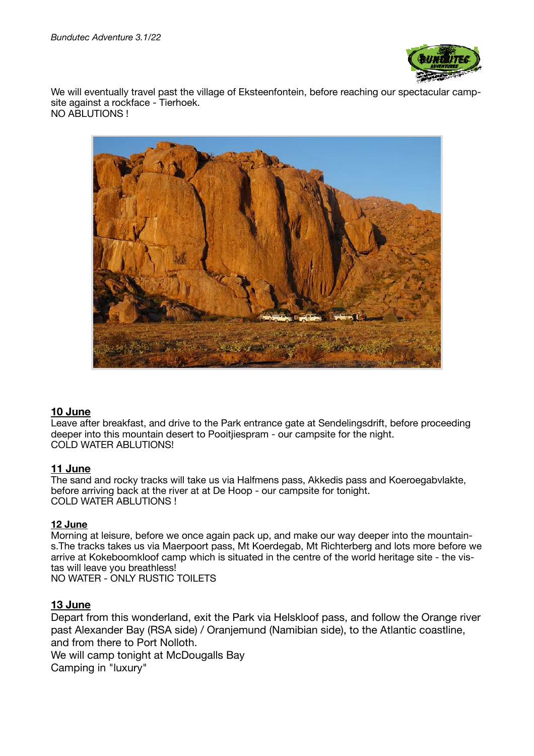

We will eventually travel past the village of Eksteenfontein, before reaching our spectacular campsite against a rockface - Tierhoek. NO ABLUTIONS !



### **10 June**

Leave after breakfast, and drive to the Park entrance gate at Sendelingsdrift, before proceeding deeper into this mountain desert to Pooitjiespram - our campsite for the night. COLD WATER ABLUTIONS!

#### **11 June**

The sand and rocky tracks will take us via Halfmens pass, Akkedis pass and Koeroegabvlakte, before arriving back at the river at at De Hoop - our campsite for tonight. COLD WATER ABLUTIONS !

#### **12 June**

Morning at leisure, before we once again pack up, and make our way deeper into the mountains.The tracks takes us via Maerpoort pass, Mt Koerdegab, Mt Richterberg and lots more before we arrive at Kokeboomkloof camp which is situated in the centre of the world heritage site - the vistas will leave you breathless! NO WATER - ONLY RUSTIC TOILETS

#### **13 June**

Depart from this wonderland, exit the Park via Helskloof pass, and follow the Orange river past Alexander Bay (RSA side) / Oranjemund (Namibian side), to the Atlantic coastline, and from there to Port Nolloth.

We will camp tonight at McDougalls Bay Camping in "luxury"